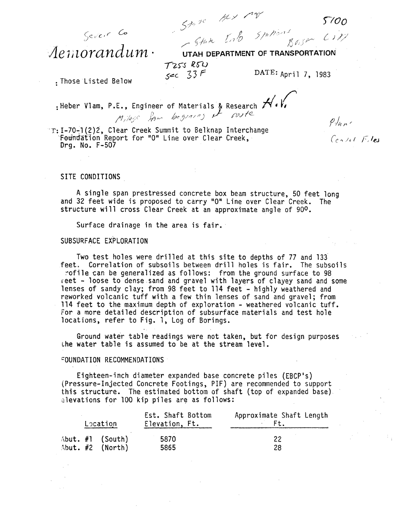*)100* 

 $(1)$ 

 $P/$ unc

Centre Files

Sever Co Aemorandum.

 $65 - 64.6$  1.00 1.10 **UTAH OEPARTMENT OF TRANSPORTATION** 

*T* 255 R54<br>*Sec* 33 F

 $\smile$  for  $\smile$ 

DATE: April 7, 1983

: Those Listed Below

: Heber Vlam, P.E., Engineer of Materials & Research H.V.

'T: I-70-1(2)2, Clear Creek Summit to Belknap Interchange<br>- Foundation Report for "0" Line over Clear Creek, Drg. No. F-507

SITE CONDITIONS

A single span prestressed concrete box beam structure, 50 feet long and 32 feet wide is proposed to carry "0" Line over Clear Creek. The structure will cross Clear Creek at an approximate angle of 90<sup>0</sup>.

Surface drainage in the area is fair.

## SUBSURFACE EXPLORATION

Two test holes were drilled at this site to depths of 77 and 133' feet. Correlation of subsoils between drill holes is fair. The subsoils rofile can be generalized as follows: from the ground surface to 98 reet - loose to dense sand and gravel with layers of clayey sand and some lenses of sandy clay; from 98 feet to 114 feet - highly weathered and reworked volcanic tuff with a few thin lenses of sand and gravel; from 114 feet to the maximum depth of exploration - weathered volcanic tuff. For a more detailed description of subsurface materials and test hole locations, refer to Fig. 1, Log of Borings.

Ground water table readings were not taken, but for design purposes the water table is assumed to be at the stream level.

### FOUNDATION RECOMMENDATIONS

Eighteen-inch diameter expanded base concrete piles (EBCP's) (Pressure-Injected Concrete Footings, PIF) are recommended to support<br>this structure. The estimated bottom of shaft (top of expanded base). elevations for 100 kip piles are as follows:

|  | Location                                 | Est. Shaft Bottom<br>Elevation, Ft. | Approximate Shaft Length |
|--|------------------------------------------|-------------------------------------|--------------------------|
|  | Abut. $#1$ (South)<br>Abut. $#2$ (North) | 5870<br>5865                        | 22<br>28                 |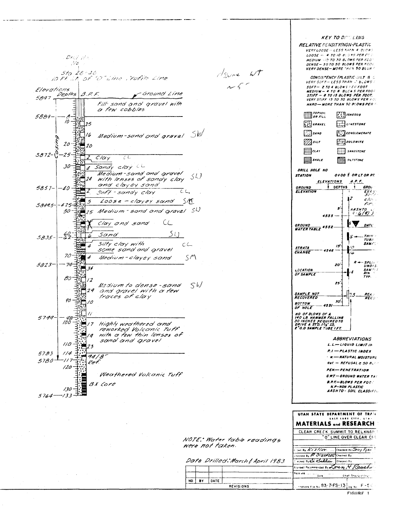

**KEY TO DESCLING RELATIVE DENSITY(NON-PLASTIC** VERY LOOSE - LESS THAN 4 BLOWS  $LOOSE = 4.7010$  example per four MEDIUM - 10 TO 30 BLOWS PER FOOT DENSE-30 TO 50 BLOWS PER FOOT VERY DENSE-MORE TERN 50 BLOKE **CONSISTENCY (PLASTIC-SUT 8 6**<br>VERY SOFT-LESS THAN N BLOWS 1  $SOFT-2TO+BLORS FERFOOT$ **MEDIUM - 4 TO 8 BLCWS PER FOOT**<br>STIFF - 8 TO 15 BLOWS PER FOOT. VERY STIFF 15 TO 30 BLOWS PER FOR HARD-HORE THAN 30 BLOWS PER  $\lim_{\text{one}}$  ropson  $T$  $($  $\binom{1}{k}$ GRAVEL  $\Box$ UNESTONE  $\Box$ sano  $\begin{bmatrix} 0 & 0 \\ 0 & 0 \end{bmatrix}$ CONGLOMERATE  $\mathbb{Z}$ silr  $\frac{1}{2}$ polowite  $\Xi$ an **EXPL** SANDSTONE **ALLA SILTSTONE** 冒咖 DRILL HOLE NO **STATION** 0+00 E OR LT OR RT ELEVATIONS B.P.F. DEPTHS GROUND<br>ELEVATION **GROL**  $\frac{FX}{500}$  $\overline{17}$  $c/c$ Fir. s a<mark>shto</mark><br>A-6**(9)** 3 4555  $\mathbf{v}$  $\overline{DATL}$ **GROUND<br>WATERTABLE 4552-** $-THIN$  $m_{B}$ **SAMP**  $15$ **STRATA** CHANGE SPLAT<br>UNDIS<br>SAMPA<br>RIN<br>TYP. 20' LOCATION<br>OF SAMP **SAMPLE** 25 SAMPLE NOT<br>RECOVERED REA :<br>REC :  $50<sup>1</sup>$ **BOTTOM** -- 4531 OF HOLE **NO OF BLOWS OF A<br>140 LB. HAMMER FALLING<br>30 INCHES REQUIRED TO<br>DRIVE A STD. 1%" LD,<br>2"0.0 SAMPLE TUB<u>E I FT.</u> ABBREVIATIONS**  $L, L \rightarrow L$ 19010  $L/M$ IT IN P.I - PLASTIC INDEX  $-$  =  $NATURAL$  Moistury  $Ret = REFUSAL \geq 50 B$ PEN-PENETRATION **G.W.T. - GROUND WATER TAX B.P.F. - BLOWS PER FOG. N.P-NON PLASTIC<br>AASHTO - SOIL CLASSIFIL** UTAH STATE DEPARTMENT OF TRANS SALE LAKE CITY **MATERIALS and RESEARCH** CLEAR CREEK SUMMIT TO BELKNAP "O" LINE OVER CLEAR CF NOTE: Water table readings own By Kistler Checked By Joay Ryan necked By P Sizerole Checked By Dote Drilled: March& April 1983 recred By ex exalitar Checkes By Scrowel Recommended By Loven, & Raush. 

 $A_{\text{Since}}$   $\omega t$ 

were not taken.

NO. BY DATE

REVISIONS

Chief Shachurdt Engr Footions File No. 83-7-FS-13 org. No. F -5 C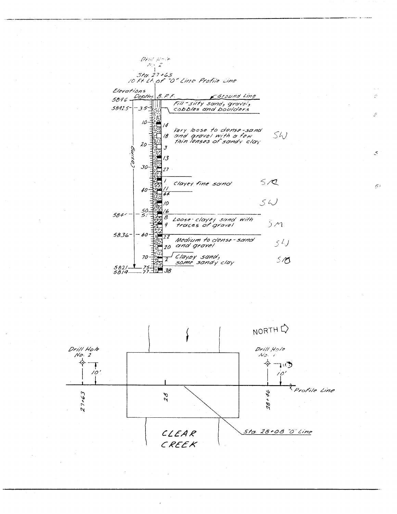



 $\mathcal{S}^{\pm}$ 

 $\mathcal{S}$ 

 $\mathcal{L}^{\mathcal{G}}$ 

 $\tilde{\mathcal{D}}$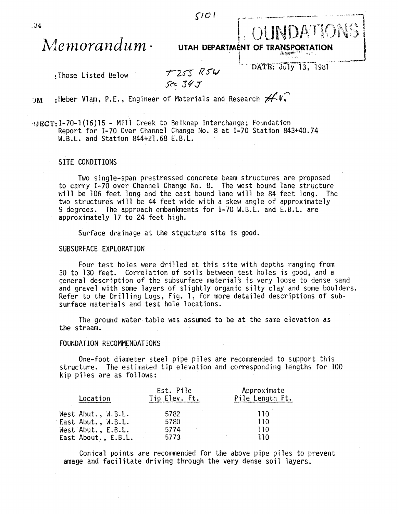*flO I* 

# *s*<sup>10</sup><br>Memorandum · UTAH DEPARTMENT OF TRANSPORTATION .

:Those Listed Below

 $T255$   $R5W$ 

DATE: July 13, 1981

')M : Heber Vl am, P. Eo, Eng; neer of Ma teri a 1 s and Research r/ V:'"

IJECT: 1-70-1 (16) 15 - Mi 11 Creek to Belknap Interchange; Foundation Report for 1-70 Over Channel Change No.8 at 1-70 Station 843+40.74 W.B.L. and Station 844+21.68 E.B.L.

# SITE CONDITIONS

Two single-span prestressed concrete beam structures are proposed to carry 1-70 over Channel Change No.8. The west bound lane structure will be 106 feet long and the east bound lane will be 84 feet long. The two structures will be 44 feet wide with a skew angle of approximately 9 degrees. The approach embankments for 1-70 W.B.L. and E.B.L. are approximately 17 to 24 feet high.

Surface drainage at the structure site is good.

### SUBSURFACE EXPLORATION

Four test holes were drilled at this site with depths ranging from 30 to 130 feet. Correlation of soils between test holes is good, and a general description of the subsurface materials is very loose to dense sand and gravel with some layers of slightly organic silty clay and some boulders. Refer to the Drilling Logs, Fig. 1, for more detailed descriptions of subsurface materials and test hole locations.

The ground water table was assumed to be at the same elevation as the stream.

# FOUNDATION RECOMMENDATIONS

One-foot diameter steel pipe piles are recommended to support this structure. The estimated tip elevation and corresponding lengths for 100 kip piles are as follows:

| Location            | Est. Pile<br>Tip Elev. Ft. | Approximate<br>Pile Length Ft. |
|---------------------|----------------------------|--------------------------------|
| West Abut., W.B.L.  | 5782                       | 110                            |
| East Abut., W.B.L.  | 5780                       | 110                            |
| West Abut., E.B.L.  | 5774                       | 110.                           |
| East About., E.B.L. | 5773                       | 110                            |

Conical points are recommended for the above pipe piles to prevent amage and facilitate driving through the very dense soil layers.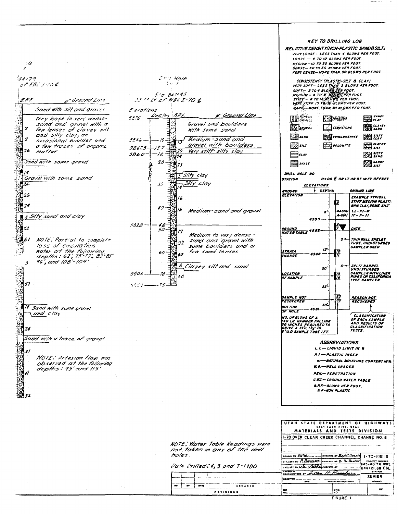